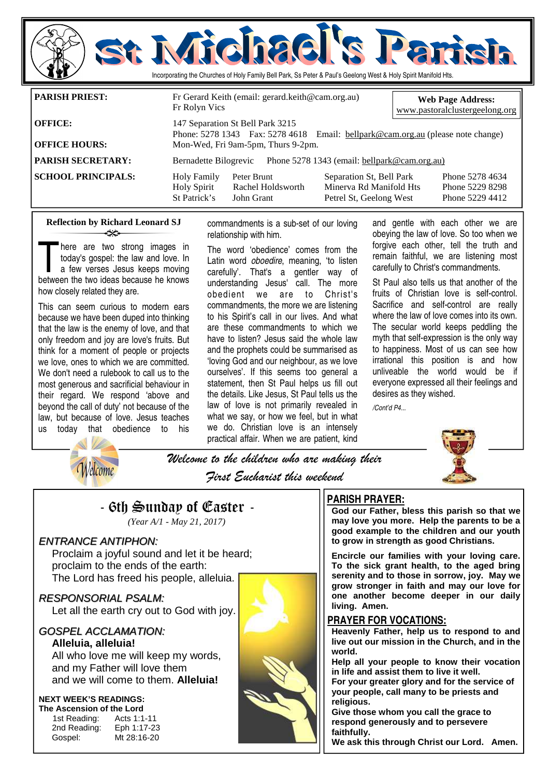

| I PAKISH PKIEST:          | Fr Gerard Keith (email: gerard.keith@cam.org.au)<br>Fr Rolyn Vics                                                   |                                                                                | <b>Web Page Address:</b><br>www.pastoralclustergeelong.org |
|---------------------------|---------------------------------------------------------------------------------------------------------------------|--------------------------------------------------------------------------------|------------------------------------------------------------|
| <b>OFFICE:</b>            | 147 Separation St Bell Park 3215<br>Phone: 5278 1343 Fax: 5278 4618 Email: bellpark@cam.org.au (please note change) |                                                                                |                                                            |
| <b>OFFICE HOURS:</b>      | Mon-Wed, Fri 9am-5pm, Thurs 9-2pm.                                                                                  |                                                                                |                                                            |
| <b>PARISH SECRETARY:</b>  | Bernadette Bilogrevic Phone 5278 1343 (email: bellpark@cam.org.au)                                                  |                                                                                |                                                            |
| <b>SCHOOL PRINCIPALS:</b> | <b>Holy Family</b><br>Peter Brunt<br>Rachel Holdsworth<br><b>Holy Spirit</b><br>St Patrick's<br>John Grant          | Separation St, Bell Park<br>Minerva Rd Manifold Hts<br>Petrel St, Geelong West | Phone 5278 4634<br>Phone 5229 8298<br>Phone 5229 4412      |

### **Reflection by Richard Leonard SJ**  ન્≫

here are two strong images in today's gospel: the law and love. In a few verses Jesus keeps moving between the two ideas because he knows how closely related they are.

This can seem curious to modern ears because we have been duped into thinking that the law is the enemy of love, and that only freedom and joy are love's fruits. But think for a moment of people or projects we love, ones to which we are committed. We don't need a rulebook to call us to the most generous and sacrificial behaviour in their regard. We respond 'above and beyond the call of duty' not because of the law, but because of love. Jesus teaches us today that obedience to his

commandments is a sub-set of our loving relationship with him.

The word 'obedience' comes from the Latin word *oboedire*, meaning, 'to listen carefully'. That's a gentler way of understanding Jesus' call. The more obedient we are to Christ's commandments, the more we are listening to his Spirit's call in our lives. And what are these commandments to which we have to listen? Jesus said the whole law and the prophets could be summarised as 'loving God and our neighbour, as we love ourselves'. If this seems too general a statement, then St Paul helps us fill out the details. Like Jesus, St Paul tells us the law of love is not primarily revealed in what we say, or how we feel, but in what we do. Christian love is an intensely practical affair. When we are patient, kind and gentle with each other we are obeying the law of love. So too when we forgive each other, tell the truth and remain faithful, we are listening most carefully to Christ's commandments.

St Paul also tells us that another of the fruits of Christian love is self-control. Sacrifice and self-control are really where the law of love comes into its own. The secular world keeps peddling the myth that self-expression is the only way to happiness. Most of us can see how irrational this position is and how unliveable the world would be if everyone expressed all their feelings and desires as they wished.

*/Cont'd P4...* 



*Nelcome* 

Welcome to the children who are making their First Eucharist this weekend

## - 6th Sunday of Easter -

*(Year A/1 - May 21, 2017)* 

### ENTRANCE ANTIPHON:

 Proclaim a joyful sound and let it be heard; proclaim to the ends of the earth: The Lord has freed his people, alleluia.

RESPONSORIAL PSALM: Let all the earth cry out to God with joy.

## GOSPEL ACCLAMATION:

**Alleluia, alleluia!**  All who love me will keep my words, and my Father will love them and we will come to them. **Alleluia!** 

### **NEXT WEEK'S READINGS:**

**The Ascension of the Lord**  1st Reading: Acts 1:1-11 2nd Reading: Eph 1:17-23 Gospel: Mt 28:16-20



## **PARISH PRAYER:**

**God our Father, bless this parish so that we may love you more. Help the parents to be a good example to the children and our youth to grow in strength as good Christians.** 

**Encircle our families with your loving care. To the sick grant health, to the aged bring serenity and to those in sorrow, joy. May we grow stronger in faith and may our love for one another become deeper in our daily living. Amen.** 

### **PRAYER FOR VOCATIONS:**

**Heavenly Father, help us to respond to and live out our mission in the Church, and in the world.** 

**Help all your people to know their vocation in life and assist them to live it well.** 

**For your greater glory and for the service of your people, call many to be priests and religious.** 

**Give those whom you call the grace to respond generously and to persevere faithfully.** 

**We ask this through Christ our Lord. Amen.**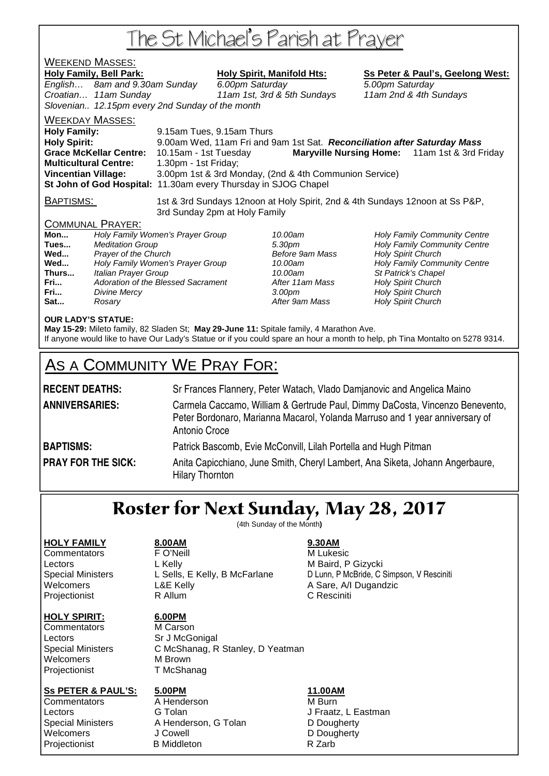# The St Michael's Parish at Prayer

## <u>WEEKEND MASSES:</u>

Holy Family, Bell Park: Holy Spirit, Manifold Hts: Ss Peter & Paul's, Geelong West: English… 8am and 9.30am Sunday 6.00pm Saturday 5.00pm Saturday Croatian… 11am Sunday 11am 1st, 3rd & 5th Sundays 11am 2nd & 4th Sundays Slovenian.. 12.15pm every 2nd Sunday of the month WEEKDAY MASSES:

**Holy Family:** 9.15am Tues, 9.15am Thurs **Holy Spirit:** 9.00am Wed, 11am Fri and 9am 1st Sat. **Reconciliation after Saturday Mass Grace McKellar Centre:** 10.15am - 1st Tuesday **Maryville Nursing Home:** 11am 1st & 3rd Friday **Multicultural Centre:** 1.30pm - 1st Friday; **Vincentian Village:** 3.00pm 1st & 3rd Monday, (2nd & 4th Communion Service) **St John of God Hospital:** 11.30am every Thursday in SJOG Chapel

BAPTISMS: 1st & 3rd Sundays 12noon at Holy Spirit, 2nd & 4th Sundays 12noon at Ss P&P, 3rd Sunday 2pm at Holy Family

### COMMUNAL PRAYER:

| Holy Family Women's Prayer Group   |
|------------------------------------|
| <b>Meditation Group</b>            |
| Prayer of the Church               |
| Holy Family Women's Prayer Group   |
| Italian Prayer Group               |
| Adoration of the Blessed Sacrament |
| Divine Mercy                       |
| Rosary                             |
|                                    |

**After 11am Mass Holy Spirit Church** After 9am Mass **Holy Spirit Church** 

10.00am **Holy Family Community Centre Tues 3.30pm Holy Family Community Centre Before 9am Mass Holy Spirit Church Before 9am Mass Holy Spirit Church** 10.00am **Holy Family Community Centre** 10.00am St Patrick's Chapel **Franch 3.00pm** Holy Spirit Church

### **OUR LADY'S STATUE:**

**May 15-29:** Mileto family, 82 Sladen St; **May 29-June 11:** Spitale family, 4 Marathon Ave. If anyone would like to have Our Lady's Statue or if you could spare an hour a month to help, ph Tina Montalto on 5278 9314.

# AS A COMMUNITY WE PRAY FOR:

| <b>RECENT DEATHS:</b>     | Sr Frances Flannery, Peter Watach, Vlado Damjanovic and Angelica Maino                                                                                                        |
|---------------------------|-------------------------------------------------------------------------------------------------------------------------------------------------------------------------------|
| <b>ANNIVERSARIES:</b>     | Carmela Caccamo, William & Gertrude Paul, Dimmy DaCosta, Vincenzo Benevento,<br>Peter Bordonaro, Marianna Macarol, Yolanda Marruso and 1 year anniversary of<br>Antonio Croce |
| <b>BAPTISMS:</b>          | Patrick Bascomb, Evie McConvill, Lilah Portella and Hugh Pitman                                                                                                               |
| <b>PRAY FOR THE SICK:</b> | Anita Capicchiano, June Smith, Cheryl Lambert, Ana Siketa, Johann Angerbaure,<br><b>Hilary Thornton</b>                                                                       |

# Roster for Next Sunday, May 28, 2017

(4th Sunday of the Month**)** 

### **HOLY FAMILY 8.00AM 9.30AM**

### **HOLY SPIRIT: 6.00PM**

Commentators M Carson Lectors Sr J McGonigal Welcomers M Brown Projectionist T McShanag

Commentators **FO'Neill FO'Neill** M Lukesic Lectors **L** Kelly **M** Baird, P Gizycki Welcomers **L&E Kelly** A Sare, A/I Dugandzic Projectionist **R** Allum **C Resciniti** 

Special Ministers L Sells, E Kelly, B McFarlane D Lunn, P McBride, C Simpson, V Resciniti

Special Ministers C McShanag, R Stanley, D Yeatman

### **Ss PETER & PAUL'S: 5.00PM 11.00AM**

Commentators **A** Henderson **M** Burn Lectors **G Tolan G Tolan** J Fraatz, L Eastman Special Ministers A Henderson, G Tolan **B D Dougherty**<br>
Velcomers Cowell U Cowell Cowell Welcomers **J Cowell J** Cowell **D** Dougherty Projectionist B Middleton B Middleton R Zarb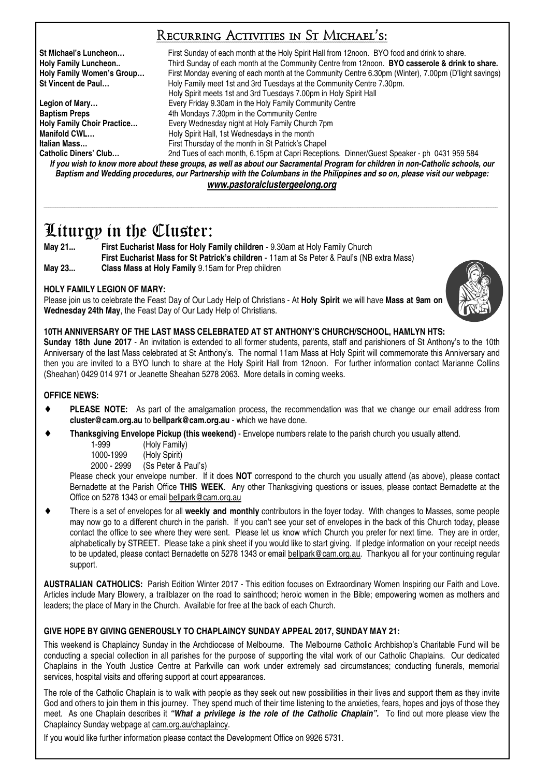## Recurring Activities in St Michael's:

**St Michael's Luncheon...** First Sunday of each month at the Holy Spirit Hall from 12noon. BYO food and drink to share.<br> **Holy Family Luncheon..** Third Sunday of each month at the Community Centre from 12noon. **BYO cassero** Third Sunday of each month at the Community Centre from 12noon. **BYO casserole & drink to share. Holy Family Women's Group…** First Monday evening of each month at the Community Centre 6.30pm (Winter), 7.00pm (D'light savings) Holy Family meet 1st and 3rd Tuesdays at the Community Centre 7.30pm. Holy Spirit meets 1st and 3rd Tuesdays 7.00pm in Holy Spirit Hall **Legion of Mary…** Every Friday 9.30am in the Holy Family Community Centre **Baptism Preps 4th Mondays 7.30pm in the Community Centre Holy Family Choir Practice…** Every Wednesday night at Holy Family Church 7pm **Manifold CWL... Holy Spirit Hall, 1st Wednesdays in the month Italian Mass…** First Thursday of the month in St Patrick's Chapel 2nd Tues of each month, 6.15pm at Capri Receptions. Dinner/Guest Speaker - ph 0431 959 584

*If you wish to know more about these groups, as well as about our Sacramental Program for children in non-Catholic schools, our Baptism and Wedding procedures, our Partnership with the Columbans in the Philippines and so on, please visit our webpage: www.pastoralclustergeelong.org*

\_\_\_\_\_\_\_\_\_\_\_\_\_\_\_\_\_\_\_\_\_\_\_\_\_\_\_\_\_\_\_\_\_\_\_\_\_\_\_\_\_\_\_\_\_\_\_\_\_\_\_\_\_\_\_\_\_\_\_\_\_\_\_\_\_\_\_\_\_\_\_\_\_\_\_\_\_\_\_\_\_\_\_\_\_\_\_\_\_\_\_\_\_\_\_\_\_\_\_\_\_\_\_\_\_\_\_\_\_\_\_\_\_\_\_\_\_\_\_\_\_\_\_\_\_\_\_\_\_\_\_\_\_\_\_\_\_\_\_\_\_\_\_\_\_\_\_\_\_\_\_\_\_\_\_\_\_\_\_\_\_\_\_\_\_\_\_\_\_\_\_\_\_\_\_\_\_\_\_\_\_\_\_\_\_\_\_\_\_\_\_\_\_\_\_\_\_

# Liturgy in the Cluster:

**May 21... First Eucharist Mass for Holy Family children** - 9.30am at Holy Family Church **First Eucharist Mass for St Patrick's children** - 11am at Ss Peter & Paul's (NB extra Mass) **May 23... Class Mass at Holy Family** 9.15am for Prep children

### **HOLY FAMILY LEGION OF MARY:**

Please join us to celebrate the Feast Day of Our Lady Help of Christians - At **Holy Spirit** we will have **Mass at 9am on Wednesday 24th May**, the Feast Day of Our Lady Help of Christians.



**Sunday 18th June 2017** - An invitation is extended to all former students, parents, staff and parishioners of St Anthony's to the 10th Anniversary of the last Mass celebrated at St Anthony's. The normal 11am Mass at Holy Spirit will commemorate this Anniversary and then you are invited to a BYO lunch to share at the Holy Spirit Hall from 12noon. For further information contact Marianne Collins (Sheahan) 0429 014 971 or Jeanette Sheahan 5278 2063. More details in coming weeks.

### **OFFICE NEWS:**

- ♦ **PLEASE NOTE:** As part of the amalgamation process, the recommendation was that we change our email address from **cluster@cam.org.au** to **bellpark@cam.org.au** - which we have done.
- **Thanksgiving Envelope Pickup (this weekend)** Envelope numbers relate to the parish church you usually attend.
	- 1-999 (Holy Family)
	- 1000-1999 (Holy Spirit)

2000 - 2999 (Ss Peter & Paul's)

 Please check your envelope number. If it does **NOT** correspond to the church you usually attend (as above), please contact Bernadette at the Parish Office **THIS WEEK**. Any other Thanksgiving questions or issues, please contact Bernadette at the Office on 5278 1343 or email bellpark@cam.org.au

There is a set of envelopes for all **weekly and monthly** contributors in the foyer today. With changes to Masses, some people may now go to a different church in the parish. If you can't see your set of envelopes in the back of this Church today, please contact the office to see where they were sent. Please let us know which Church you prefer for next time. They are in order, alphabetically by STREET. Please take a pink sheet if you would like to start giving. If pledge information on your receipt needs to be updated, please contact Bernadette on 5278 1343 or email bellpark@cam.org.au. Thankyou all for your continuing regular support.

**AUSTRALIAN CATHOLICS:** Parish Edition Winter 2017 - This edition focuses on Extraordinary Women Inspiring our Faith and Love. Articles include Mary Blowery, a trailblazer on the road to sainthood; heroic women in the Bible; empowering women as mothers and leaders; the place of Mary in the Church. Available for free at the back of each Church.

### **GIVE HOPE BY GIVING GENEROUSLY TO CHAPLAINCY SUNDAY APPEAL 2017, SUNDAY MAY 21:**

This weekend is Chaplaincy Sunday in the Archdiocese of Melbourne. The Melbourne Catholic Archbishop's Charitable Fund will be conducting a special collection in all parishes for the purpose of supporting the vital work of our Catholic Chaplains. Our dedicated Chaplains in the Youth Justice Centre at Parkville can work under extremely sad circumstances; conducting funerals, memorial services, hospital visits and offering support at court appearances.

The role of the Catholic Chaplain is to walk with people as they seek out new possibilities in their lives and support them as they invite God and others to join them in this journey. They spend much of their time listening to the anxieties, fears, hopes and joys of those they meet. As one Chaplain describes it *"What a privilege is the role of the Catholic Chaplain".* To find out more please view the Chaplaincy Sunday webpage at cam.org.au/chaplaincy.

If you would like further information please contact the Development Office on 9926 5731.